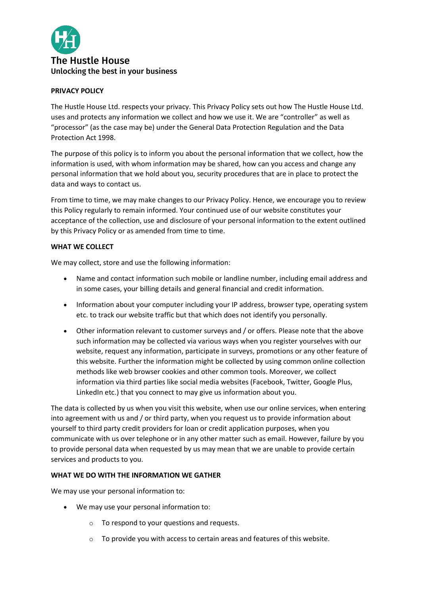

# **PRIVACY POLICY**

The Hustle House Ltd. respects your privacy. This Privacy Policy sets out how The Hustle House Ltd. uses and protects any information we collect and how we use it. We are "controller" as well as "processor" (as the case may be) under the General Data Protection Regulation and the Data Protection Act 1998.

The purpose of this policy is to inform you about the personal information that we collect, how the information is used, with whom information may be shared, how can you access and change any personal information that we hold about you, security procedures that are in place to protect the data and ways to contact us.

From time to time, we may make changes to our Privacy Policy. Hence, we encourage you to review this Policy regularly to remain informed. Your continued use of our website constitutes your acceptance of the collection, use and disclosure of your personal information to the extent outlined by this Privacy Policy or as amended from time to time.

# **WHAT WE COLLECT**

We may collect, store and use the following information:

- Name and contact information such mobile or landline number, including email address and in some cases, your billing details and general financial and credit information.
- Information about your computer including your IP address, browser type, operating system etc. to track our website traffic but that which does not identify you personally.
- Other information relevant to customer surveys and / or offers. Please note that the above such information may be collected via various ways when you register yourselves with our website, request any information, participate in surveys, promotions or any other feature of this website. Further the information might be collected by using common online collection methods like web browser cookies and other common tools. Moreover, we collect information via third parties like social media websites (Facebook, Twitter, Google Plus, LinkedIn etc.) that you connect to may give us information about you.

The data is collected by us when you visit this website, when use our online services, when entering into agreement with us and / or third party, when you request us to provide information about yourself to third party credit providers for loan or credit application purposes, when you communicate with us over telephone or in any other matter such as email. However, failure by you to provide personal data when requested by us may mean that we are unable to provide certain services and products to you.

## **WHAT WE DO WITH THE INFORMATION WE GATHER**

We may use your personal information to:

- We may use your personal information to:
	- o To respond to your questions and requests.
	- $\circ$  To provide you with access to certain areas and features of this website.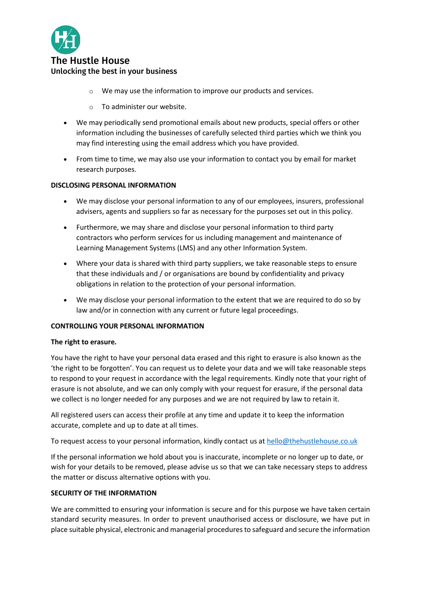

# The Hustle House Unlocking the best in your business

- o We may use the information to improve our products and services.
- o To administer our website.
- We may periodically send promotional emails about new products, special offers or other information including the businesses of carefully selected third parties which we think you may find interesting using the email address which you have provided.
- From time to time, we may also use your information to contact you by email for market research purposes.

# **DISCLOSING PERSONAL INFORMATION**

- We may disclose your personal information to any of our employees, insurers, professional advisers, agents and suppliers so far as necessary for the purposes set out in this policy.
- Furthermore, we may share and disclose your personal information to third party contractors who perform services for us including management and maintenance of Learning Management Systems (LMS) and any other Information System.
- Where your data is shared with third party suppliers, we take reasonable steps to ensure that these individuals and / or organisations are bound by confidentiality and privacy obligations in relation to the protection of your personal information.
- We may disclose your personal information to the extent that we are required to do so by law and/or in connection with any current or future legal proceedings.

## **CONTROLLING YOUR PERSONAL INFORMATION**

## **The right to erasure.**

You have the right to have your personal data erased and this right to erasure is also known as the 'the right to be forgotten'. You can request us to delete your data and we will take reasonable steps to respond to your request in accordance with the legal requirements. Kindly note that your right of erasure is not absolute, and we can only comply with your request for erasure, if the personal data we collect is no longer needed for any purposes and we are not required by law to retain it.

All registered users can access their profile at any time and update it to keep the information accurate, complete and up to date at all times.

To request access to your personal information, kindly contact us at [hello@thehustlehouse.co.uk](mailto:hello@thehustlehouse.co.uk)

If the personal information we hold about you is inaccurate, incomplete or no longer up to date, or wish for your details to be removed, please advise us so that we can take necessary steps to address the matter or discuss alternative options with you.

## **SECURITY OF THE INFORMATION**

We are committed to ensuring your information is secure and for this purpose we have taken certain standard security measures. In order to prevent unauthorised access or disclosure, we have put in place suitable physical, electronic and managerial procedures to safeguard and secure the information